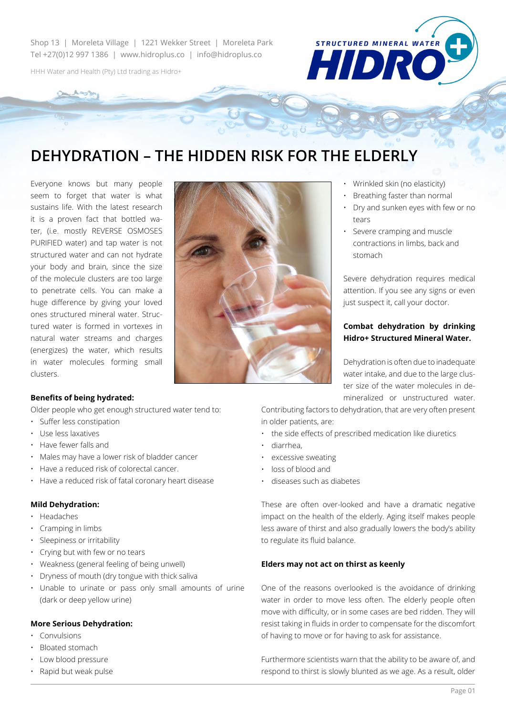Shop 13 | Moreleta Village | 1221 Wekker Street | Moreleta Park Tel +27(0)12 997 1386 | www.hidroplus.co | info@hidroplus.co

HHH Water and Health (Pty) Ltd trading as Hidro+

# **DEHYDRATION – THE HIDDEN RISK FOR THE ELDERLY**

Everyone knows but many people seem to forget that water is what sustains life. With the latest research it is a proven fact that bottled water, (i.e. mostly REVERSE OSMOSES PURIFIED water) and tap water is not structured water and can not hydrate your body and brain, since the size of the molecule clusters are too large to penetrate cells. You can make a huge difference by giving your loved ones structured mineral water. Structured water is formed in vortexes in natural water streams and charges (energizes) the water, which results in water molecules forming small clusters.



• Wrinkled skin (no elasticity)

**STRUCTURED MINERAL WATER** 

HIDR

- Breathing faster than normal
- Dry and sunken eyes with few or no tears
- Severe cramping and muscle contractions in limbs, back and stomach

Severe dehydration requires medical attention. If you see any signs or even just suspect it, call your doctor.

### **Combat dehydration by drinking Hidro+ Structured Mineral Water.**

Dehydration is often due to inadequate water intake, and due to the large cluster size of the water molecules in demineralized or unstructured water.

Contributing factors to dehydration, that are very often present in older patients, are:

- the side effects of prescribed medication like diuretics
- diarrhea,
- excessive sweating
- loss of blood and
- diseases such as diabetes

These are often over-looked and have a dramatic negative impact on the health of the elderly. Aging itself makes people less aware of thirst and also gradually lowers the body's ability to regulate its fluid balance.

#### **Elders may not act on thirst as keenly**

One of the reasons overlooked is the avoidance of drinking water in order to move less often. The elderly people often move with difficulty, or in some cases are bed ridden. They will resist taking in fluids in order to compensate for the discomfort of having to move or for having to ask for assistance.

Furthermore scientists warn that the ability to be aware of, and respond to thirst is slowly blunted as we age. As a result, older

### **Benefits of being hydrated:**

Older people who get enough structured water tend to:

- Suffer less constipation
- Use less laxatives
- Have fewer falls and
- Males may have a lower risk of bladder cancer
- Have a reduced risk of colorectal cancer.
- Have a reduced risk of fatal coronary heart disease

### **Mild Dehydration:**

- Headaches
- Cramping in limbs
- Sleepiness or irritability
- Crying but with few or no tears
- Weakness (general feeling of being unwell)
- Dryness of mouth (dry tongue with thick saliva
- Unable to urinate or pass only small amounts of urine (dark or deep yellow urine)

### **More Serious Dehydration:**

- Convulsions
- Bloated stomach
- Low blood pressure
- Rapid but weak pulse